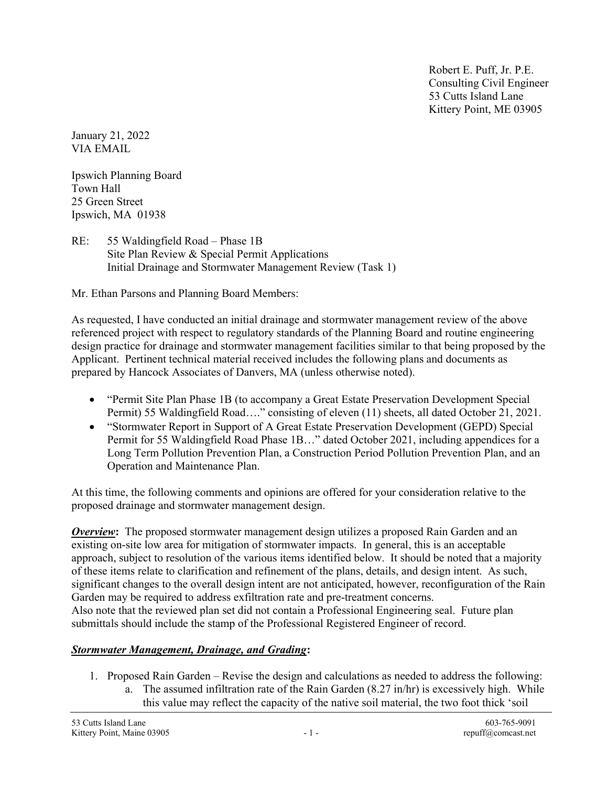Robert E. Puff, Jr. P.E. Consulting Civil Engineer 53 Cutts Island Lane Kittery Point, ME 03905

January 21, 2022 VIA EMAIL

Ipswich Planning Board Town Hall 25 Green Street Ipswich, MA 01938

RE: 55 Waldingfield Road – Phase 1B Site Plan Review & Special Permit Applications Initial Drainage and Stormwater Management Review (Task 1)

Mr. Ethan Parsons and Planning Board Members:

As requested, I have conducted an initial drainage and stormwater management review of the above referenced project with respect to regulatory standards of the Planning Board and routine engineering design practice for drainage and stormwater management facilities similar to that being proposed by the Applicant. Pertinent technical material received includes the following plans and documents as prepared by Hancock Associates of Danvers, MA (unless otherwise noted).

- "Permit Site Plan Phase 1B (to accompany a Great Estate Preservation Development Special Permit) 55 Waldingfield Road…." consisting of eleven (11) sheets, all dated October 21, 2021.
- "Stormwater Report in Support of A Great Estate Preservation Development (GEPD) Special Permit for 55 Waldingfield Road Phase 1B…" dated October 2021, including appendices for a Long Term Pollution Prevention Plan, a Construction Period Pollution Prevention Plan, and an Operation and Maintenance Plan.

At this time, the following comments and opinions are offered for your consideration relative to the proposed drainage and stormwater management design.

**Overview:** The proposed stormwater management design utilizes a proposed Rain Garden and an existing on-site low area for mitigation of stormwater impacts. In general, this is an acceptable approach, subject to resolution of the various items identified below. It should be noted that a majority of these items relate to clarification and refinement of the plans, details, and design intent. As such, significant changes to the overall design intent are not anticipated, however, reconfiguration of the Rain Garden may be required to address exfiltration rate and pre-treatment concerns. Also note that the reviewed plan set did not contain a Professional Engineering seal. Future plan submittals should include the stamp of the Professional Registered Engineer of record.

## Stormwater Management, Drainage, and Grading:

- 1. Proposed Rain Garden Revise the design and calculations as needed to address the following:
	- a. The assumed infiltration rate of the Rain Garden (8.27 in/hr) is excessively high. While this value may reflect the capacity of the native soil material, the two foot thick 'soil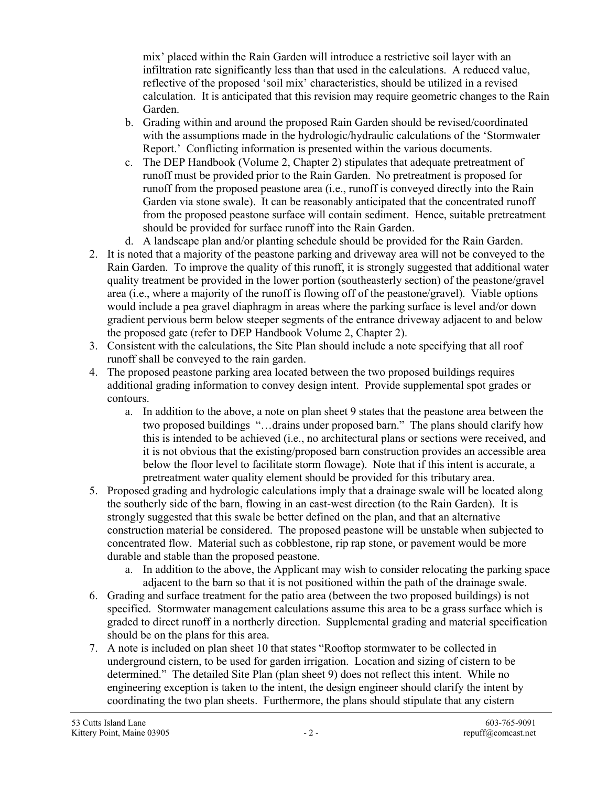mix' placed within the Rain Garden will introduce a restrictive soil layer with an infiltration rate significantly less than that used in the calculations. A reduced value, reflective of the proposed 'soil mix' characteristics, should be utilized in a revised calculation. It is anticipated that this revision may require geometric changes to the Rain Garden.

- b. Grading within and around the proposed Rain Garden should be revised/coordinated with the assumptions made in the hydrologic/hydraulic calculations of the 'Stormwater Report.' Conflicting information is presented within the various documents.
- c. The DEP Handbook (Volume 2, Chapter 2) stipulates that adequate pretreatment of runoff must be provided prior to the Rain Garden. No pretreatment is proposed for runoff from the proposed peastone area (i.e., runoff is conveyed directly into the Rain Garden via stone swale). It can be reasonably anticipated that the concentrated runoff from the proposed peastone surface will contain sediment. Hence, suitable pretreatment should be provided for surface runoff into the Rain Garden.
- d. A landscape plan and/or planting schedule should be provided for the Rain Garden.
- 2. It is noted that a majority of the peastone parking and driveway area will not be conveyed to the Rain Garden. To improve the quality of this runoff, it is strongly suggested that additional water quality treatment be provided in the lower portion (southeasterly section) of the peastone/gravel area (i.e., where a majority of the runoff is flowing off of the peastone/gravel). Viable options would include a pea gravel diaphragm in areas where the parking surface is level and/or down gradient pervious berm below steeper segments of the entrance driveway adjacent to and below the proposed gate (refer to DEP Handbook Volume 2, Chapter 2).
- 3. Consistent with the calculations, the Site Plan should include a note specifying that all roof runoff shall be conveyed to the rain garden.
- 4. The proposed peastone parking area located between the two proposed buildings requires additional grading information to convey design intent. Provide supplemental spot grades or contours.
	- a. In addition to the above, a note on plan sheet 9 states that the peastone area between the two proposed buildings "…drains under proposed barn." The plans should clarify how this is intended to be achieved (i.e., no architectural plans or sections were received, and it is not obvious that the existing/proposed barn construction provides an accessible area below the floor level to facilitate storm flowage). Note that if this intent is accurate, a pretreatment water quality element should be provided for this tributary area.
- 5. Proposed grading and hydrologic calculations imply that a drainage swale will be located along the southerly side of the barn, flowing in an east-west direction (to the Rain Garden). It is strongly suggested that this swale be better defined on the plan, and that an alternative construction material be considered. The proposed peastone will be unstable when subjected to concentrated flow. Material such as cobblestone, rip rap stone, or pavement would be more durable and stable than the proposed peastone.
	- a. In addition to the above, the Applicant may wish to consider relocating the parking space adjacent to the barn so that it is not positioned within the path of the drainage swale.
- 6. Grading and surface treatment for the patio area (between the two proposed buildings) is not specified. Stormwater management calculations assume this area to be a grass surface which is graded to direct runoff in a northerly direction. Supplemental grading and material specification should be on the plans for this area.
- 7. A note is included on plan sheet 10 that states "Rooftop stormwater to be collected in underground cistern, to be used for garden irrigation. Location and sizing of cistern to be determined." The detailed Site Plan (plan sheet 9) does not reflect this intent. While no engineering exception is taken to the intent, the design engineer should clarify the intent by coordinating the two plan sheets. Furthermore, the plans should stipulate that any cistern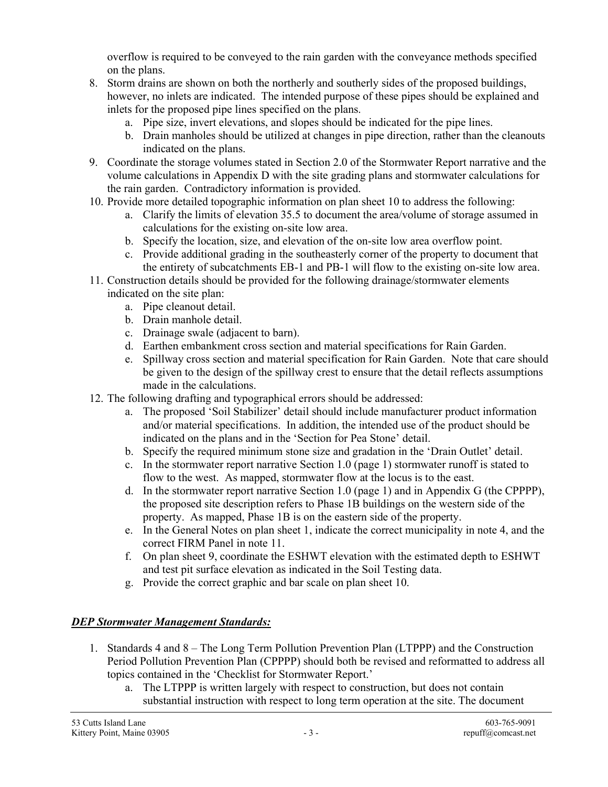overflow is required to be conveyed to the rain garden with the conveyance methods specified on the plans.

- 8. Storm drains are shown on both the northerly and southerly sides of the proposed buildings, however, no inlets are indicated. The intended purpose of these pipes should be explained and inlets for the proposed pipe lines specified on the plans.
	- a. Pipe size, invert elevations, and slopes should be indicated for the pipe lines.
	- b. Drain manholes should be utilized at changes in pipe direction, rather than the cleanouts indicated on the plans.
- 9. Coordinate the storage volumes stated in Section 2.0 of the Stormwater Report narrative and the volume calculations in Appendix D with the site grading plans and stormwater calculations for the rain garden. Contradictory information is provided.
- 10. Provide more detailed topographic information on plan sheet 10 to address the following:
	- a. Clarify the limits of elevation 35.5 to document the area/volume of storage assumed in calculations for the existing on-site low area.
	- b. Specify the location, size, and elevation of the on-site low area overflow point.
	- c. Provide additional grading in the southeasterly corner of the property to document that the entirety of subcatchments EB-1 and PB-1 will flow to the existing on-site low area.
- 11. Construction details should be provided for the following drainage/stormwater elements indicated on the site plan:
	- a. Pipe cleanout detail.
	- b. Drain manhole detail.
	- c. Drainage swale (adjacent to barn).
	- d. Earthen embankment cross section and material specifications for Rain Garden.
	- e. Spillway cross section and material specification for Rain Garden. Note that care should be given to the design of the spillway crest to ensure that the detail reflects assumptions made in the calculations.
- 12. The following drafting and typographical errors should be addressed:
	- a. The proposed 'Soil Stabilizer' detail should include manufacturer product information and/or material specifications. In addition, the intended use of the product should be indicated on the plans and in the 'Section for Pea Stone' detail.
	- b. Specify the required minimum stone size and gradation in the 'Drain Outlet' detail.
	- c. In the stormwater report narrative Section 1.0 (page 1) stormwater runoff is stated to flow to the west. As mapped, stormwater flow at the locus is to the east.
	- d. In the stormwater report narrative Section 1.0 (page 1) and in Appendix G (the CPPPP), the proposed site description refers to Phase 1B buildings on the western side of the property. As mapped, Phase 1B is on the eastern side of the property.
	- e. In the General Notes on plan sheet 1, indicate the correct municipality in note 4, and the correct FIRM Panel in note 11.
	- f. On plan sheet 9, coordinate the ESHWT elevation with the estimated depth to ESHWT and test pit surface elevation as indicated in the Soil Testing data.
	- g. Provide the correct graphic and bar scale on plan sheet 10.

## **DEP Stormwater Management Standards:**

- 1. Standards 4 and 8 The Long Term Pollution Prevention Plan (LTPPP) and the Construction Period Pollution Prevention Plan (CPPPP) should both be revised and reformatted to address all topics contained in the 'Checklist for Stormwater Report.'
	- a. The LTPPP is written largely with respect to construction, but does not contain substantial instruction with respect to long term operation at the site. The document